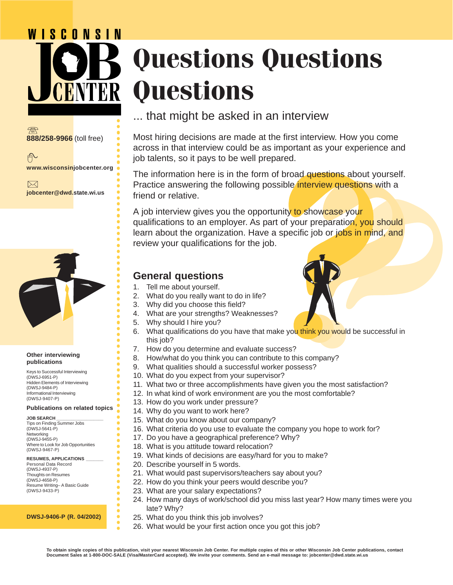# WISCONSIN **Questions Questions Questions**



户 **www.wisconsinjobcenter.org**

 $\boxtimes$ **jobcenter@dwd.state.wi.us**



#### **Other interviewing publications**

Keys to Successful Interviewing (DWSJ-6951-P) Hidden Elements of Interviewing (DWSJ-9484-P) Informational Interviewing (DWSJ-9407-P)

#### **Publications on related topics**

| <b>JOB SEARCH</b>                   |  |
|-------------------------------------|--|
| Tips on Finding Summer Jobs         |  |
| (DWSJ-5641-P)                       |  |
| Networking                          |  |
| (DWSJ-9455-P)                       |  |
| Where to Look for Job Opportunities |  |
| (DWSJ-9467-P)                       |  |

#### **RESUMES, APPLICATIONS \_\_\_\_\_\_\_**

Personal Data Record (DWSJ-4937-P) Thoughts on Resumes (DWSJ-4658-P) Resume Writing– A Basic Guide (DWSJ-9433-P)

**DWSJ-9406-P (R. 04/2002)**

Most hiring decisions are made at the first interview. How you come across in that interview could be as important as your experience and job talents, so it pays to be well prepared.

The information here is in the form of broad questions about yourself. Practice answering the following possible *interview* questions with a friend or relative.

<p>\n In the <b>partial</b> <i>in</i> <i>in</i> <i>in</i> <i>in</i> <i>in</i> <i>in</i> <i>in</i> <i>in</i> <i>in</i> <i>in</i> <i>in</i> <i>in</i> <i>in</i> <i>in</i> <i>in</i> <i>in</i> <i>in</i> <i>in</i> <i>in</i> <i>in</i> <i>in</i> <i>in</i> <i>in</i> <i>in</i> <i>in</i> <i>in</i> <i>in</i> <i>in</i> <i>in</i> <i A job interview gives you the opportunity to showcase your qualifications to an employer. As part of your preparation, you should learn about the organization. Have a specific job or jobs in mind, and review your qualifications for the job.

#### **General questions**

○○○○○○○○○○○○○○○○○○○○○○○○○○○○○○○○○○○○○○○○○○○○

○○○○○○○○○○○○○○○○○○○○○○○○○○

○○○○○○○○○○○○○○○○○○○○○○○○○○

 $\bullet$  $\bullet$  $\bullet$  $\bullet$ 

- 1. Tell me about yourself.
- 2. What do you really want to do in life?
- 3. Why did you choose this field?
- 4. What are your strengths? Weaknesses?
- 5. Why should I hire you?
- 6. What qualifications do you have that make you think you would be successful in this job?
- 7. How do you determine and evaluate success?
- 8. How/what do you think you can contribute to this company?
- 9. What qualities should a successful worker possess?
- 10. What do you expect from your supervisor?
- 11. What two or three accomplishments have given you the most satisfaction?
- 12. In what kind of work environment are you the most comfortable?
- 13. How do you work under pressure?
- 14. Why do you want to work here?
- 15. What do you know about our company?
- 16. What criteria do you use to evaluate the company you hope to work for?
- 17. Do you have a geographical preference? Why?
- 18. What is you attitude toward relocation?
- 19. What kinds of decisions are easy/hard for you to make?
- 20. Describe yourself in 5 words.
- 21. What would past supervisors/teachers say about you?
- 22. How do you think your peers would describe you?
- 23. What are your salary expectations?
- 24. How many days of work/school did you miss last year? How many times were you late? Why?
- 25. What do you think this job involves?
- 26. What would be your first action once you got this job?

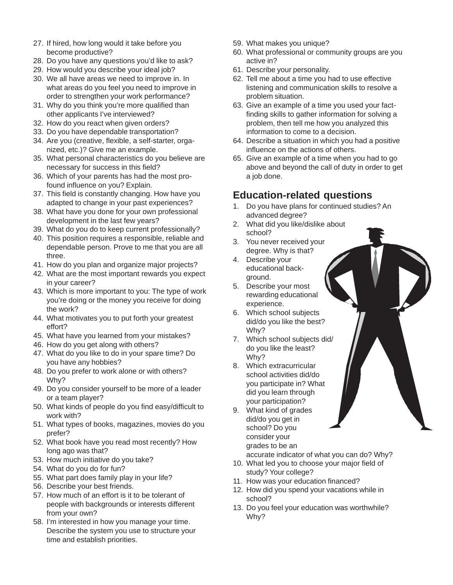- 27. If hired, how long would it take before you become productive?
- 28. Do you have any questions you'd like to ask?
- 29. How would you describe your ideal job?
- 30. We all have areas we need to improve in. In what areas do you feel you need to improve in order to strengthen your work performance?
- 31. Why do you think you're more qualified than other applicants I've interviewed?
- 32. How do you react when given orders?
- 33. Do you have dependable transportation?
- 34. Are you (creative, flexible, a self-starter, organized, etc.)? Give me an example.
- 35. What personal characteristics do you believe are necessary for success in this field?
- 36. Which of your parents has had the most profound influence on you? Explain.
- 37. This field is constantly changing. How have you adapted to change in your past experiences?
- 38. What have you done for your own professional development in the last few years?
- 39. What do you do to keep current professionally?
- 40. This position requires a responsible, reliable and dependable person. Prove to me that you are all three.
- 41. How do you plan and organize major projects?
- 42. What are the most important rewards you expect in your career?
- 43. Which is more important to you: The type of work you're doing or the money you receive for doing the work?
- 44. What motivates you to put forth your greatest effort?
- 45. What have you learned from your mistakes?
- 46. How do you get along with others?
- 47. What do you like to do in your spare time? Do you have any hobbies?
- 48. Do you prefer to work alone or with others? Why?
- 49. Do you consider yourself to be more of a leader or a team player?
- 50. What kinds of people do you find easy/difficult to work with?
- 51. What types of books, magazines, movies do you prefer?
- 52. What book have you read most recently? How long ago was that?
- 53. How much initiative do you take?
- 54. What do you do for fun?
- 55. What part does family play in your life?
- 56. Describe your best friends.
- 57. How much of an effort is it to be tolerant of people with backgrounds or interests different from your own?
- 58. I'm interested in how you manage your time. Describe the system you use to structure your time and establish priorities.
- 59. What makes you unique?
- 60. What professional or community groups are you active in?
- 61. Describe your personality.
- 62. Tell me about a time you had to use effective listening and communication skills to resolve a problem situation.
- 63. Give an example of a time you used your factfinding skills to gather information for solving a problem, then tell me how you analyzed this information to come to a decision.
- 64. Describe a situation in which you had a positive influence on the actions of others.
- 65. Give an example of a time when you had to go above and beyond the call of duty in order to get a job done.

# **Education-related questions**

- 1. Do you have plans for continued studies? An advanced degree?
- 2. What did you like/dislike about school?
- 3. You never received your degree. Why is that?
- 4. Describe your educational background.
- 5. Describe your most rewarding educational experience.
- 6. Which school subjects did/do you like the best? Why?
- 7. Which school subjects did/ do you like the least? Why?
- 8. Which extracurricular school activities did/do you participate in? What did you learn through your participation?
- 9. What kind of grades did/do you get in school? Do you consider your grades to be an
- accurate indicator of what you can do? Why? 10. What led you to choose your major field of
- study? Your college? 11. How was your education financed?
- 12. How did you spend your vacations while in school?
- 13. Do you feel your education was worthwhile? Why?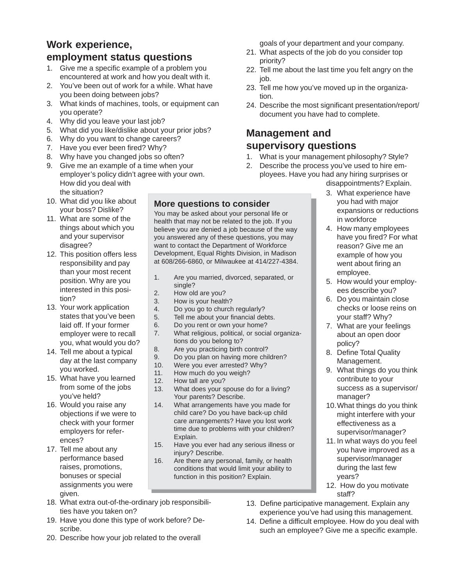# **Work experience, employment status questions**

- 1. Give me a specific example of a problem you encountered at work and how you dealt with it.
- 2. You've been out of work for a while. What have you been doing between jobs?
- 3. What kinds of machines, tools, or equipment can you operate?
- 4. Why did you leave your last job?
- 5. What did you like/dislike about your prior jobs?
- 6. Why do you want to change careers?
- 7. Have you ever been fired? Why?
- 8. Why have you changed jobs so often?
- 9. Give me an example of a time when your employer's policy didn't agree with your own. How did you deal with the situation?
- 10. What did you like about your boss? Dislike?
- 11. What are some of the things about which you and your supervisor disagree?
- 12. This position offers less responsibility and pay than your most recent position. Why are you interested in this position?
- 13. Your work application states that you've been laid off. If your former employer were to recall you, what would you do?
- 14. Tell me about a typical day at the last company you worked.
- 15. What have you learned from some of the jobs you've held?
- 16. Would you raise any objections if we were to check with your former employers for references?
- 17. Tell me about any performance based raises, promotions, bonuses or special assignments you were given.

#### **More questions to consider**

You may be asked about your personal life or health that may not be related to the job. If you believe you are denied a job because of the way you answered any of these questions, you may want to contact the Department of Workforce Development, Equal Rights Division, in Madison at 608/266-6860, or Milwaukee at 414/227-4384.

- 1. Are you married, divorced, separated, or single?
- 2. How old are you?
- 3. How is your health?<br>4. Do you go to church
- Do you go to church regularly?
- 5. Tell me about your financial debts.
- 6. Do you rent or own your home?
- 7. What religious, political, or social organizations do you belong to?
- 8. Are you practicing birth control?
- 9. Do you plan on having more children?<br>10. Were you ever arrested? Why?
- Were you ever arrested? Why?
- 11. How much do you weigh?
- 12. How tall are you?
- 13. What does your spouse do for a living? Your parents? Describe.
- 14. What arrangements have you made for child care? Do you have back-up child care arrangements? Have you lost work time due to problems with your children? Explain.
- 15. Have you ever had any serious illness or injury? Describe.
- 16. Are there any personal, family, or health conditions that would limit your ability to function in this position? Explain.
- 18. What extra out-of-the-ordinary job responsibilities have you taken on?
- 19. Have you done this type of work before? Describe.
- 20. Describe how your job related to the overall

goals of your department and your company.

- 21. What aspects of the job do you consider top priority?
- 22. Tell me about the last time you felt angry on the job.
- 23. Tell me how you've moved up in the organization.
- 24. Describe the most significant presentation/report/ document you have had to complete.

# **Management and supervisory questions**

- 1. What is your management philosophy? Style?
- 2. Describe the process you've used to hire employees. Have you had any hiring surprises or
	- disappointments? Explain.
	- 3. What experience have you had with major expansions or reductions in workforce
	- 4. How many employees have you fired? For what reason? Give me an example of how you went about firing an employee.
	- 5. How would your employees describe you?
	- 6. Do you maintain close checks or loose reins on your staff? Why?
	- 7. What are your feelings about an open door policy?
	- 8. Define Total Quality Management.
	- 9. What things do you think contribute to your success as a supervisor/ manager?
	- 10.What things do you think might interfere with your effectiveness as a supervisor/manager?
	- 11. In what ways do you feel you have improved as a supervisor/manager during the last few years?
	- 12. How do you motivate staff?
- 13. Define participative management. Explain any experience you've had using this management.
- 14. Define a difficult employee. How do you deal with such an employee? Give me a specific example.